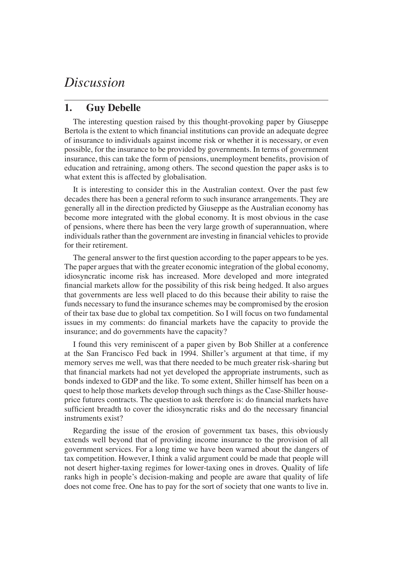## *Discussion*

## **1. Guy Debelle**

The interesting question raised by this thought-provoking paper by Giuseppe Bertola is the extent to which financial institutions can provide an adequate degree of insurance to individuals against income risk or whether it is necessary, or even possible, for the insurance to be provided by governments. In terms of government insurance, this can take the form of pensions, unemployment benefits, provision of education and retraining, among others. The second question the paper asks is to what extent this is affected by globalisation.

It is interesting to consider this in the Australian context. Over the past few decades there has been a general reform to such insurance arrangements. They are generally all in the direction predicted by Giuseppe as the Australian economy has become more integrated with the global economy. It is most obvious in the case of pensions, where there has been the very large growth of superannuation, where individuals rather than the government are investing in financial vehicles to provide for their retirement.

The general answer to the first question according to the paper appears to be yes. The paper argues that with the greater economic integration of the global economy, idiosyncratic income risk has increased. More developed and more integrated financial markets allow for the possibility of this risk being hedged. It also argues that governments are less well placed to do this because their ability to raise the funds necessary to fund the insurance schemes may be compromised by the erosion of their tax base due to global tax competition. So I will focus on two fundamental issues in my comments: do financial markets have the capacity to provide the insurance; and do governments have the capacity?

I found this very reminiscent of a paper given by Bob Shiller at a conference at the San Francisco Fed back in 1994. Shiller's argument at that time, if my memory serves me well, was that there needed to be much greater risk-sharing but that financial markets had not yet developed the appropriate instruments, such as bonds indexed to GDP and the like. To some extent, Shiller himself has been on a quest to help those markets develop through such things as the Case-Shiller houseprice futures contracts. The question to ask therefore is: do financial markets have sufficient breadth to cover the idiosyncratic risks and do the necessary financial instruments exist?

Regarding the issue of the erosion of government tax bases, this obviously extends well beyond that of providing income insurance to the provision of all government services. For a long time we have been warned about the dangers of tax competition. However, I think a valid argument could be made that people will not desert higher-taxing regimes for lower-taxing ones in droves. Quality of life ranks high in people's decision-making and people are aware that quality of life does not come free. One has to pay for the sort of society that one wants to live in.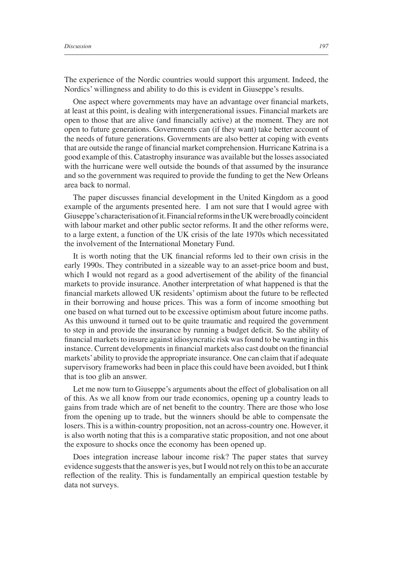The experience of the Nordic countries would support this argument. Indeed, the Nordics' willingness and ability to do this is evident in Giuseppe's results.

One aspect where governments may have an advantage over financial markets, at least at this point, is dealing with intergenerational issues. Financial markets are open to those that are alive (and financially active) at the moment. They are not open to future generations. Governments can (if they want) take better account of the needs of future generations. Governments are also better at coping with events that are outside the range of financial market comprehension. Hurricane Katrina is a good example of this. Catastrophy insurance was available but the losses associated with the hurricane were well outside the bounds of that assumed by the insurance and so the government was required to provide the funding to get the New Orleans area back to normal.

The paper discusses financial development in the United Kingdom as a good example of the arguments presented here. I am not sure that I would agree with Giuseppe's characterisation of it. Financial reforms in the UK were broadly coincident with labour market and other public sector reforms. It and the other reforms were, to a large extent, a function of the UK crisis of the late 1970s which necessitated the involvement of the International Monetary Fund.

It is worth noting that the UK financial reforms led to their own crisis in the early 1990s. They contributed in a sizeable way to an asset-price boom and bust, which I would not regard as a good advertisement of the ability of the financial markets to provide insurance. Another interpretation of what happened is that the financial markets allowed UK residents' optimism about the future to be reflected in their borrowing and house prices. This was a form of income smoothing but one based on what turned out to be excessive optimism about future income paths. As this unwound it turned out to be quite traumatic and required the government to step in and provide the insurance by running a budget deficit. So the ability of financial markets to insure against idiosyncratic risk was found to be wanting in this instance. Current developments in financial markets also cast doubt on the financial markets' ability to provide the appropriate insurance. One can claim that if adequate supervisory frameworks had been in place this could have been avoided, but I think that is too glib an answer.

Let me now turn to Giuseppe's arguments about the effect of globalisation on all of this. As we all know from our trade economics, opening up a country leads to gains from trade which are of net benefit to the country. There are those who lose from the opening up to trade, but the winners should be able to compensate the losers. This is a within-country proposition, not an across-country one. However, it is also worth noting that this is a comparative static proposition, and not one about the exposure to shocks once the economy has been opened up.

Does integration increase labour income risk? The paper states that survey evidence suggests that the answer is yes, but I would not rely on this to be an accurate reflection of the reality. This is fundamentally an empirical question testable by data not surveys.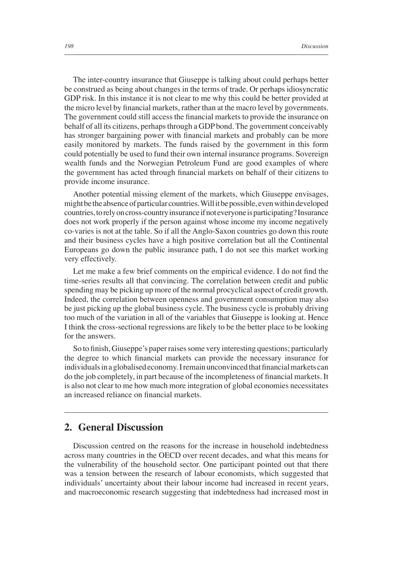The inter-country insurance that Giuseppe is talking about could perhaps better be construed as being about changes in the terms of trade. Or perhaps idiosyncratic GDP risk. In this instance it is not clear to me why this could be better provided at the micro level by financial markets, rather than at the macro level by governments. The government could still access the financial markets to provide the insurance on behalf of all its citizens, perhaps through a GDP bond. The government conceivably has stronger bargaining power with financial markets and probably can be more easily monitored by markets. The funds raised by the government in this form could potentially be used to fund their own internal insurance programs. Sovereign wealth funds and the Norwegian Petroleum Fund are good examples of where the government has acted through financial markets on behalf of their citizens to provide income insurance.

Another potential missing element of the markets, which Giuseppe envisages, might be the absence of particular countries. Will it be possible, even within developed countries, to rely on cross-country insurance if not everyone is participating? Insurance does not work properly if the person against whose income my income negatively co-varies is not at the table. So if all the Anglo-Saxon countries go down this route and their business cycles have a high positive correlation but all the Continental Europeans go down the public insurance path, I do not see this market working very effectively.

Let me make a few brief comments on the empirical evidence. I do not find the time-series results all that convincing. The correlation between credit and public spending may be picking up more of the normal procyclical aspect of credit growth. Indeed, the correlation between openness and government consumption may also be just picking up the global business cycle. The business cycle is probably driving too much of the variation in all of the variables that Giuseppe is looking at. Hence I think the cross-sectional regressions are likely to be the better place to be looking for the answers.

So to finish, Giuseppe's paper raises some very interesting questions; particularly the degree to which financial markets can provide the necessary insurance for individuals in a globalised economy. I remain unconvinced that financial markets can do the job completely, in part because of the incompleteness of financial markets. It is also not clear to me how much more integration of global economies necessitates an increased reliance on financial markets.

## **2. General Discussion**

Discussion centred on the reasons for the increase in household indebtedness across many countries in the OECD over recent decades, and what this means for the vulnerability of the household sector. One participant pointed out that there was a tension between the research of labour economists, which suggested that individuals' uncertainty about their labour income had increased in recent years, and macroeconomic research suggesting that indebtedness had increased most in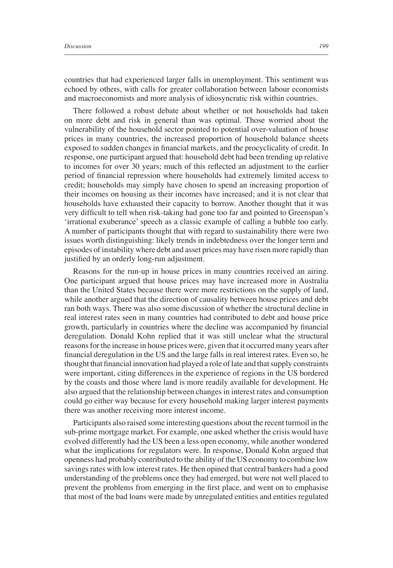countries that had experienced larger falls in unemployment. This sentiment was echoed by others, with calls for greater collaboration between labour economists and macroeconomists and more analysis of idiosyncratic risk within countries.

There followed a robust debate about whether or not households had taken on more debt and risk in general than was optimal. Those worried about the vulnerability of the household sector pointed to potential over-valuation of house prices in many countries, the increased proportion of household balance sheets exposed to sudden changes in financial markets, and the procyclicality of credit. In response, one participant argued that: household debt had been trending up relative to incomes for over 30 years; much of this reflected an adjustment to the earlier period of financial repression where households had extremely limited access to credit; households may simply have chosen to spend an increasing proportion of their incomes on housing as their incomes have increased; and it is not clear that households have exhausted their capacity to borrow. Another thought that it was very difficult to tell when risk-taking had gone too far and pointed to Greenspan's 'irrational exuberance' speech as a classic example of calling a bubble too early. A number of participants thought that with regard to sustainability there were two issues worth distinguishing: likely trends in indebtedness over the longer term and episodes of instability where debt and asset prices may have risen more rapidly than justified by an orderly long-run adjustment.

Reasons for the run-up in house prices in many countries received an airing. One participant argued that house prices may have increased more in Australia than the United States because there were more restrictions on the supply of land, while another argued that the direction of causality between house prices and debt ran both ways. There was also some discussion of whether the structural decline in real interest rates seen in many countries had contributed to debt and house price growth, particularly in countries where the decline was accompanied by financial deregulation. Donald Kohn replied that it was still unclear what the structural reasons for the increase in house prices were, given that it occurred many years after financial deregulation in the US and the large falls in real interest rates. Even so, he thought that financial innovation had played a role of late and that supply constraints were important, citing differences in the experience of regions in the US bordered by the coasts and those where land is more readily available for development. He also argued that the relationship between changes in interest rates and consumption could go either way because for every household making larger interest payments there was another receiving more interest income.

Participants also raised some interesting questions about the recent turmoil in the sub-prime mortgage market. For example, one asked whether the crisis would have evolved differently had the US been a less open economy, while another wondered what the implications for regulators were. In response, Donald Kohn argued that openness had probably contributed to the ability of the US economy to combine low savings rates with low interest rates. He then opined that central bankers had a good understanding of the problems once they had emerged, but were not well placed to prevent the problems from emerging in the first place, and went on to emphasise that most of the bad loans were made by unregulated entities and entities regulated